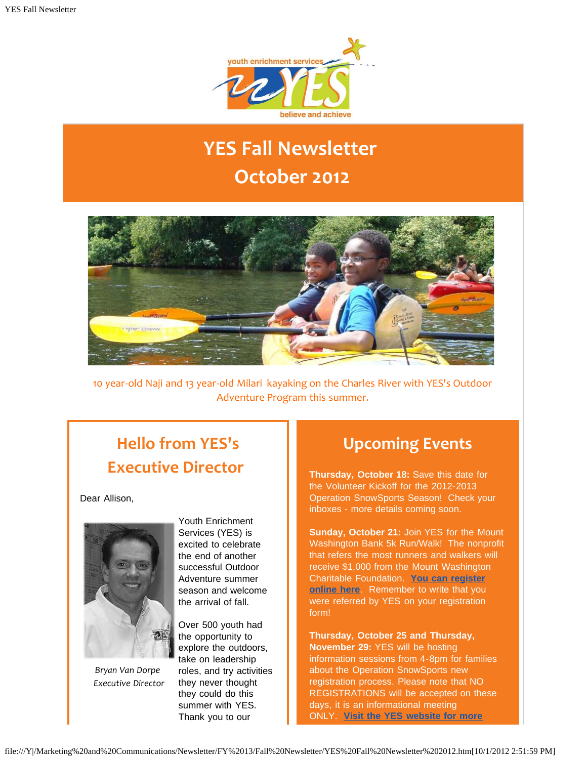

# **YES Fall Newsletter October 2012**



10 year-old Naji and 13 year-old Milari kayaking on the Charles River with YES's Outdoor Adventure Program this summer.

## **Hello from YES's Executive Director**

Dear Allison,



*Bryan Van Dorpe Executive Director*

Youth Enrichment Services (YES) is excited to celebrate the end of another successful Outdoor Adventure summer season and welcome the arrival of fall.

Over 500 youth had the opportunity to explore the outdoors, take on leadership roles, and try activities they never thought they could do this summer with YES. Thank you to our

## **Upcoming Events**

**Thursday, October 18:** Save this date for the Volunteer Kickoff for the 2012-2013 Operation SnowSports Season! Check your inboxes - more details coming soon.

**Sunday, October 21:** Join YES for the Mount Washington Bank 5k Run/Walk! The nonprofit that refers the most runners and walkers will receive \$1,000 from the Mount Washington Charitable Foundation. **[You can register](http://r20.rs6.net/tn.jsp?e=001AD5fay7F8ZZWCCH1r7bKRKuOLG0Lcx2aSPgjXLPb_86bnveTmG72M_Ndzwmn788kLiKqZMYjsDKh-StdRMMVJ2BLY99EjX7IS2lj9Q-K9c4y2Km7NC_e8IW4neZw0BWaGC179D1LTl_h7nZnaDA5S_9INk5PAqJdQlQEMe8H3Qg=) [online here](http://r20.rs6.net/tn.jsp?e=001AD5fay7F8ZZWCCH1r7bKRKuOLG0Lcx2aSPgjXLPb_86bnveTmG72M_Ndzwmn788kLiKqZMYjsDKh-StdRMMVJ2BLY99EjX7IS2lj9Q-K9c4y2Km7NC_e8IW4neZw0BWaGC179D1LTl_h7nZnaDA5S_9INk5PAqJdQlQEMe8H3Qg=)**. Remember to write that you were referred by YES on your registration form!

**Thursday, October 25 and Thursday, November 29:** YES will be hosting information sessions from 4-8pm for families about the Operation SnowSports new registration process. Please note that NO REGISTRATIONS will be accepted on these days, it is an informational meeting ONLY. **[Visit the YES website for more](http://r20.rs6.net/tn.jsp?e=001AD5fay7F8ZanUAsoUU62wanT9TBeHECOKAXdaezERBfQhezR4n5R5nIO0PznwNRvBqQNQvs4P8lRFNf16v0xs8YK7wkpbJPX2dzGhkyiOro=)**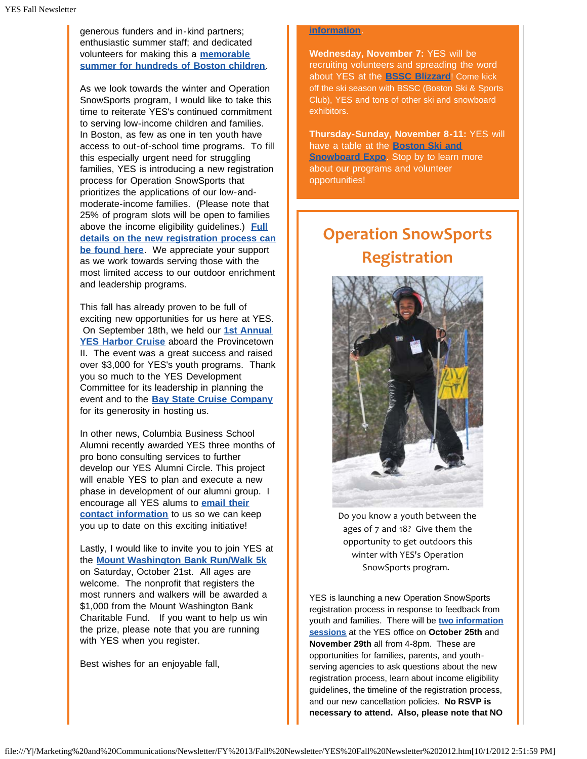generous funders and in-kind partners; enthusiastic summer staff; and dedicated volunteers for making this a **[memorable](http://r20.rs6.net/tn.jsp?e=001AD5fay7F8Zb7pKF32dzBJw42kzG4kYHL7yvYKXr8YUcxl-RQw1wHOLDTyorzEV5QNYDqWl3QoC5o6bh6L9nWB7eJeY4wWBa46OqawPc9Cqkaif1hjfBu6FkdLqjfOVJJlRG2gFx_J8vfmPfY5xT6paxlcOfxqBKwkji9wS4XK-Ei3G0gSTCprsFsDtf9H_aoUkYtzTeaVDSTRbPdl03i5A==) [summer for hundreds of Boston children](http://r20.rs6.net/tn.jsp?e=001AD5fay7F8Zb7pKF32dzBJw42kzG4kYHL7yvYKXr8YUcxl-RQw1wHOLDTyorzEV5QNYDqWl3QoC5o6bh6L9nWB7eJeY4wWBa46OqawPc9Cqkaif1hjfBu6FkdLqjfOVJJlRG2gFx_J8vfmPfY5xT6paxlcOfxqBKwkji9wS4XK-Ei3G0gSTCprsFsDtf9H_aoUkYtzTeaVDSTRbPdl03i5A==)**.

As we look towards the winter and Operation SnowSports program, I would like to take this time to reiterate YES's continued commitment to serving low-income children and families. In Boston, as few as one in ten youth have access to out-of-school time programs. To fill this especially urgent need for struggling families, YES is introducing a new registration process for Operation SnowSports that prioritizes the applications of our low-andmoderate-income families. (Please note that 25% of program slots will be open to families above the income eligibility guidelines.) **[Full](http://r20.rs6.net/tn.jsp?e=001AD5fay7F8ZbsUBp9NTyXrG3L-DinTF5JzcEGVLhN00h5zqRaypVhOI5mH42k3dwYPp08sXE7QXKw3P6OBvVNQoZr6jZBV9atpySobjW6L_xBObqUCY2FWmb5oWpyB6XrhOW60ibc7_XgXJq9ji-sNAdX-FdowqRrfEI5-IjmDx0=) [details on the new registration process can](http://r20.rs6.net/tn.jsp?e=001AD5fay7F8ZbsUBp9NTyXrG3L-DinTF5JzcEGVLhN00h5zqRaypVhOI5mH42k3dwYPp08sXE7QXKw3P6OBvVNQoZr6jZBV9atpySobjW6L_xBObqUCY2FWmb5oWpyB6XrhOW60ibc7_XgXJq9ji-sNAdX-FdowqRrfEI5-IjmDx0=) [be found here](http://r20.rs6.net/tn.jsp?e=001AD5fay7F8ZbsUBp9NTyXrG3L-DinTF5JzcEGVLhN00h5zqRaypVhOI5mH42k3dwYPp08sXE7QXKw3P6OBvVNQoZr6jZBV9atpySobjW6L_xBObqUCY2FWmb5oWpyB6XrhOW60ibc7_XgXJq9ji-sNAdX-FdowqRrfEI5-IjmDx0=)**. We appreciate your support as we work towards serving those with the most limited access to our outdoor enrichment and leadership programs.

This fall has already proven to be full of exciting new opportunities for us here at YES. On September 18th, we held our **[1st Annual](http://r20.rs6.net/tn.jsp?e=001AD5fay7F8ZaCTb3OLgIaZScc3PMWc3NUWluYU7g3s7MDM5tlfuR91WlPUaqWCdldLJEiYS870hWUYSLWaR5_LZ_g5cwBuBUDs13VYV6Zcz9dLEbdRdJwjpYCiuwcDVBnvljGtUIfPyLaSmYX-MOZqoxfpflgCpmkfYCSgFY590IQ8GYdeIKCqXJZGgKLXkVRY6iZKIMafvBisleJQEhPRw==) [YES Harbor Cruise](http://r20.rs6.net/tn.jsp?e=001AD5fay7F8ZaCTb3OLgIaZScc3PMWc3NUWluYU7g3s7MDM5tlfuR91WlPUaqWCdldLJEiYS870hWUYSLWaR5_LZ_g5cwBuBUDs13VYV6Zcz9dLEbdRdJwjpYCiuwcDVBnvljGtUIfPyLaSmYX-MOZqoxfpflgCpmkfYCSgFY590IQ8GYdeIKCqXJZGgKLXkVRY6iZKIMafvBisleJQEhPRw==)** aboard the Provincetown II. The event was a great success and raised over \$3,000 for YES's youth programs. Thank you so much to the YES Development Committee for its leadership in planning the event and to the **[Bay State Cruise Company](http://r20.rs6.net/tn.jsp?e=001AD5fay7F8Za_npzMNzVWArOxoSbFxC5p0G0Vr9UFvJ5e6TgNR8JtRS-LNUh9PEK9s1F9AizsktMSs-O9U1wj7vSQbBk3s8D7SZAqrzx1xFdfBjUIVQ5YsOYBoBw-jw9W)** for its generosity in hosting us.

In other news, Columbia Business School Alumni recently awarded YES three months of pro bono consulting services to further develop our YES Alumni Circle. This project will enable YES to plan and execute a new phase in development of our alumni group. I encourage all YES alums to **[email their](mailto:atripp@yeskids.org) [contact information](mailto:atripp@yeskids.org)** to us so we can keep you up to date on this exciting initiative!

Lastly, I would like to invite you to join YES at the **[Mount Washington Bank Run/Walk 5k](http://r20.rs6.net/tn.jsp?e=001AD5fay7F8ZZWCCH1r7bKRKuOLG0Lcx2aSPgjXLPb_86bnveTmG72M_Ndzwmn788kLiKqZMYjsDKh-StdRMMVJ2BLY99EjX7IS2lj9Q-K9c4y2Km7NC_e8IW4neZw0BWaGC179D1LTl_h7nZnaDA5S_9INk5PAqJdQlQEMe8H3Qg=)** on Saturday, October 21st. All ages are welcome. The nonprofit that registers the most runners and walkers will be awarded a \$1,000 from the Mount Washington Bank Charitable Fund. If you want to help us win the prize, please note that you are running with YES when you register.

Best wishes for an enjoyable fall,

#### **[information](http://r20.rs6.net/tn.jsp?e=001AD5fay7F8ZanUAsoUU62wanT9TBeHECOKAXdaezERBfQhezR4n5R5nIO0PznwNRvBqQNQvs4P8lRFNf16v0xs8YK7wkpbJPX2dzGhkyiOro=)**.

**Wednesday, November 7:** YES will be recruiting volunteers and spreading the word about YES at the **[BSSC Blizzard](http://r20.rs6.net/tn.jsp?e=001AD5fay7F8ZbxR1Tck4gdF0otKbsicIamunVnjk9qihSnEZvtm-8PhozSaUg9S0GMCIeorM-i2Axu3wkOAr_vVzVnyvMkXHZ2RuDoA5lqWuL8iMKvOvZzyYNac5MTMyiGEqwnb5BmxizP1b4dzIU9tjfx3Z-fkmu5l5LBP6YZiVCLcQAIMfe7ovImeWtJqbDb)**! Come kick off the ski season with BSSC (Boston Ski & Sports Club), YES and tons of other ski and snowboard exhibitors.

**Thursday-Sunday, November 8-11:** YES will have a table at the **[Boston Ski and](http://r20.rs6.net/tn.jsp?e=001AD5fay7F8ZZ0XtYuHt8K35TH6VTVJG4ICbSSSWPC7l0s9xhoR-7nin5Mk9Bc6PLIxunU7U-Loj537-3wPTqls4mGOUDUY7w-NCGYTzyzEf37dRlgIJWI9JVgmpwB6k_Z5sNRabcHHeQ=) [Snowboard Expo](http://r20.rs6.net/tn.jsp?e=001AD5fay7F8ZZ0XtYuHt8K35TH6VTVJG4ICbSSSWPC7l0s9xhoR-7nin5Mk9Bc6PLIxunU7U-Loj537-3wPTqls4mGOUDUY7w-NCGYTzyzEf37dRlgIJWI9JVgmpwB6k_Z5sNRabcHHeQ=)**. Stop by to learn more about our programs and volunteer opportunities!

## **Operation SnowSports Registration**



Do you know a youth between the ages of 7 and 18? Give them the opportunity to get outdoors this winter with YES's Operation SnowSports program.

YES is launching a new Operation SnowSports registration process in response to feedback from youth and families. There will be **[two information](http://r20.rs6.net/tn.jsp?e=001AD5fay7F8ZYKFIdByNPi5NSNPIxMc_ZPv4bLM2akRKcgBJXAW9Lf2WRJ1tTFtx2vZgBZEAa1kTdOJ7wM6a36Ie6iADDmMu-oT_c4HoDmIxguB5co22MQcyzDF9EiYiGiBilA1yfPdaV_v1CHZco_oChjgNg8PoYBchpGvKyaTHSeXjgZucA8wPHK-I7DYDtYA8jvg4sGl0Y=) [sessions](http://r20.rs6.net/tn.jsp?e=001AD5fay7F8ZYKFIdByNPi5NSNPIxMc_ZPv4bLM2akRKcgBJXAW9Lf2WRJ1tTFtx2vZgBZEAa1kTdOJ7wM6a36Ie6iADDmMu-oT_c4HoDmIxguB5co22MQcyzDF9EiYiGiBilA1yfPdaV_v1CHZco_oChjgNg8PoYBchpGvKyaTHSeXjgZucA8wPHK-I7DYDtYA8jvg4sGl0Y=)** at the YES office on **October 25th** and **November 29th** all from 4-8pm. These are opportunities for families, parents, and youthserving agencies to ask questions about the new registration process, learn about income eligibility guidelines, the timeline of the registration process, and our new cancellation policies. **No RSVP is necessary to attend. Also, please note that NO**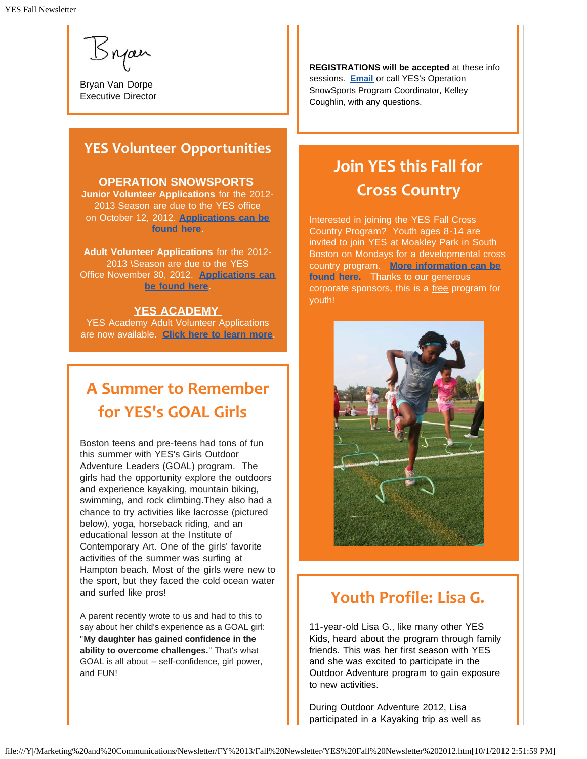Syan

Bryan Van Dorpe Executive Director

### **YES Volunteer Opportunities**

#### **OPERATION SNOWSPORTS**

**Junior Volunteer Applications** for the 2012- 2013 Season are due to the YES office on October 12, 2012. **[Applications can be](http://r20.rs6.net/tn.jsp?e=001AD5fay7F8ZaKWiaovU3A47pnzNqIZVi6GcRWJzzvdGTYlR1SOIP2_DozhqEmXTAfqfm3DY5wEFoDrr9efswN42IWpRkRISDSdXbYNGGC6VJOIjF16IMf27Rlp9pvafj2QsG7a_XSd6XxCOlpgO8rSh2oawWriW68) [found here](http://r20.rs6.net/tn.jsp?e=001AD5fay7F8ZaKWiaovU3A47pnzNqIZVi6GcRWJzzvdGTYlR1SOIP2_DozhqEmXTAfqfm3DY5wEFoDrr9efswN42IWpRkRISDSdXbYNGGC6VJOIjF16IMf27Rlp9pvafj2QsG7a_XSd6XxCOlpgO8rSh2oawWriW68)**.

**Adult Volunteer Applications** for the 2012- 2013 \Season are due to the YES Office November 30, 2012. **[Applications can](http://r20.rs6.net/tn.jsp?e=001AD5fay7F8ZYu3vpMxj72DTSIKFG9HrDfb31A4W2zuS6l1is0SqUDyLeJCMlzhUhlFJ4R5N8Sga8jTTxLJosE8ToCY27TcS1FbkKWajuL_x89YD_pKlG5Cn0EiUV7VY8cu46nSiHdNs846Rm7WMYUYR-ATokG8A-u) [be found here](http://r20.rs6.net/tn.jsp?e=001AD5fay7F8ZYu3vpMxj72DTSIKFG9HrDfb31A4W2zuS6l1is0SqUDyLeJCMlzhUhlFJ4R5N8Sga8jTTxLJosE8ToCY27TcS1FbkKWajuL_x89YD_pKlG5Cn0EiUV7VY8cu46nSiHdNs846Rm7WMYUYR-ATokG8A-u)**.

#### **YES ACADEMY**

YES Academy Adult Volunteer Applications are now available. **[Click here to learn more](http://r20.rs6.net/tn.jsp?e=001AD5fay7F8ZbUy6A3SsGuHQrBrOE0XWcaeCMcVaRIsEkAOWsMlR0jvL4KcRXoX39v60IdvSs2iXQKBKp_G3OwPpIPiDfldvbBFPNwCdyin8V_crD6Rz_q0jK74IaDEucJlo8p1oK3AGQOYldFZF3NcaOXJ823dkCZ)**.

## **A Summer to Remember for YES's GOAL Girls**

Boston teens and pre-teens had tons of fun this summer with YES's Girls Outdoor Adventure Leaders (GOAL) program. The girls had the opportunity explore the outdoors and experience kayaking, mountain biking, swimming, and rock climbing.They also had a chance to try activities like lacrosse (pictured below), yoga, horseback riding, and an educational lesson at the Institute of Contemporary Art. One of the girls' favorite activities of the summer was surfing at Hampton beach. Most of the girls were new to the sport, but they faced the cold ocean water and surfed like pros!

A parent recently wrote to us and had to this to say about her child's experience as a GOAL girl: "**My daughter has gained confidence in the ability to overcome challenges.**" That's what GOAL is all about -- self-confidence, girl power, and FUN!

**REGISTRATIONS will be accepted** at these info sessions. **[Email](mailto:programs@yeskids.org)** or call YES's Operation SnowSports Program Coordinator, Kelley Coughlin, with any questions.

## **Join YES this Fall for Cross Country**

Interested in joining the YES Fall Cross Country Program? Youth ages 8-14 are invited to join YES at Moakley Park in South Boston on Mondays for a developmental cross country program. **[More information can be](http://r20.rs6.net/tn.jsp?e=001AD5fay7F8ZbVK_u_S4vhu6wSCqyplhyj0-uNU1yD371z1scrlJUvnAcEx8hNhlmQqfwM_31qMM3rUrYnX3vUgbfS23QJ1dUY-v5nKAdgA7Sii37kc-2yR9_Tu1hiTjWCw-qsWfyReK31e97E-TDMGoIWbcC1YoDt) [found here.](http://r20.rs6.net/tn.jsp?e=001AD5fay7F8ZbVK_u_S4vhu6wSCqyplhyj0-uNU1yD371z1scrlJUvnAcEx8hNhlmQqfwM_31qMM3rUrYnX3vUgbfS23QJ1dUY-v5nKAdgA7Sii37kc-2yR9_Tu1hiTjWCw-qsWfyReK31e97E-TDMGoIWbcC1YoDt)** Thanks to our generous corporate sponsors, this is a free program for youth!



### **Youth Profile: Lisa G.**

11-year-old Lisa G., like many other YES Kids, heard about the program through family friends. This was her first season with YES and she was excited to participate in the Outdoor Adventure program to gain exposure to new activities.

During Outdoor Adventure 2012, Lisa participated in a Kayaking trip as well as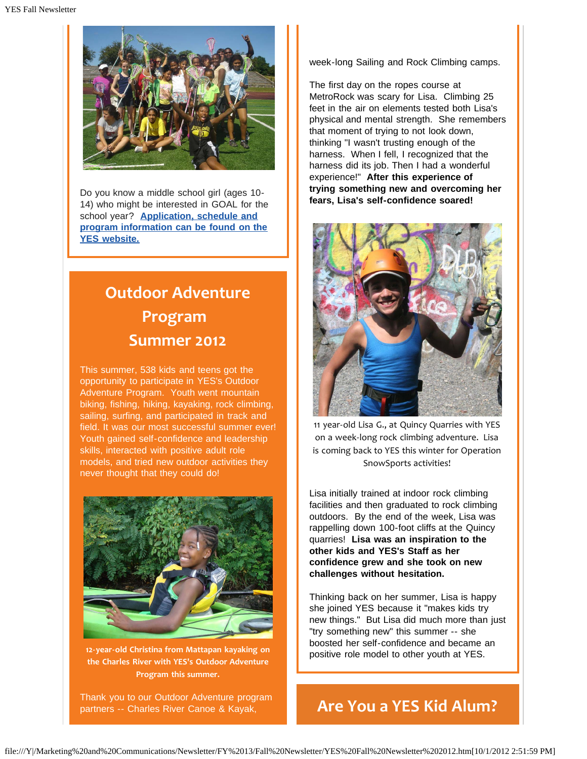

Do you know a middle school girl (ages 10- 14) who might be interested in GOAL for the school year? **[Application, schedule and](http://r20.rs6.net/tn.jsp?e=001AD5fay7F8ZamRnFphnYQndKhQzNI_z4XuLNH9VJhqFP0wwmJnzpw2e1oESKx0t5GP_rD_dWaV3CGQg7k31wGUWMYNYtDpMP9r-Q50KbVDHBAwHK5UQYEYYdAWwdNp9BlD8_QpFLk8A2T2hQJVCzzUvTZhB4ichVL) [program information can be found on the](http://r20.rs6.net/tn.jsp?e=001AD5fay7F8ZamRnFphnYQndKhQzNI_z4XuLNH9VJhqFP0wwmJnzpw2e1oESKx0t5GP_rD_dWaV3CGQg7k31wGUWMYNYtDpMP9r-Q50KbVDHBAwHK5UQYEYYdAWwdNp9BlD8_QpFLk8A2T2hQJVCzzUvTZhB4ichVL) [YES website.](http://r20.rs6.net/tn.jsp?e=001AD5fay7F8ZamRnFphnYQndKhQzNI_z4XuLNH9VJhqFP0wwmJnzpw2e1oESKx0t5GP_rD_dWaV3CGQg7k31wGUWMYNYtDpMP9r-Q50KbVDHBAwHK5UQYEYYdAWwdNp9BlD8_QpFLk8A2T2hQJVCzzUvTZhB4ichVL)**

# **Outdoor Adventure Program Summer 2012**

This summer, 538 kids and teens got the opportunity to participate in YES's Outdoor Adventure Program. Youth went mountain biking, fishing, hiking, kayaking, rock climbing, sailing, surfing, and participated in track and field. It was our most successful summer ever! Youth gained self-confidence and leadership skills, interacted with positive adult role models, and tried new outdoor activities they never thought that they could do!



**12-year-old Christina from Mattapan kayaking on the Charles River with YES's Outdoor Adventure Program this summer.**

Thank you to our Outdoor Adventure program partners -- Charles River Canoe & Kayak,

week-long Sailing and Rock Climbing camps.

The first day on the ropes course at MetroRock was scary for Lisa. Climbing 25 feet in the air on elements tested both Lisa's physical and mental strength. She remembers that moment of trying to not look down, thinking "I wasn't trusting enough of the harness. When I fell, I recognized that the harness did its job. Then I had a wonderful experience!" **After this experience of trying something new and overcoming her fears, Lisa's self-confidence soared!**



11 year-old Lisa G., at Quincy Quarries with YES on a week-long rock climbing adventure. Lisa is coming back to YES this winter for Operation SnowSports activities!

Lisa initially trained at indoor rock climbing facilities and then graduated to rock climbing outdoors. By the end of the week, Lisa was rappelling down 100-foot cliffs at the Quincy quarries! **Lisa was an inspiration to the other kids and YES's Staff as her confidence grew and she took on new challenges without hesitation.**

Thinking back on her summer, Lisa is happy she joined YES because it "makes kids try new things." But Lisa did much more than just "try something new" this summer -- she boosted her self-confidence and became an positive role model to other youth at YES.

## **Are You a YES Kid Alum?**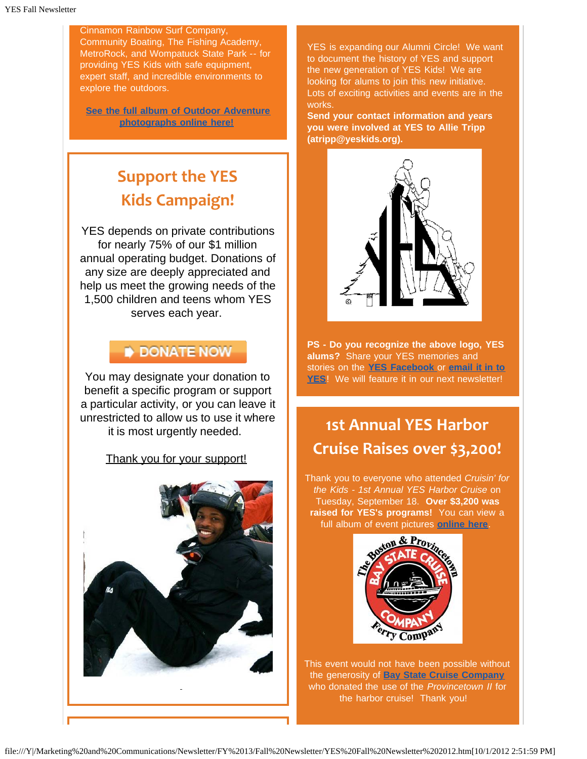Cinnamon Rainbow Surf Company, Community Boating, The Fishing Academy, MetroRock, and Wompatuck State Park -- for providing YES Kids with safe equipment, expert staff, and incredible environments to explore the outdoors.

**[See the full album of Outdoor Adventure](http://r20.rs6.net/tn.jsp?e=001AD5fay7F8Zb7pKF32dzBJw42kzG4kYHL7yvYKXr8YUcxl-RQw1wHOLDTyorzEV5QNYDqWl3QoC5o6bh6L9nWB7eJeY4wWBa46OqawPc9Cqkaif1hjfBu6FkdLqjfOVJJlRG2gFx_J8vfmPfY5xT6paxlcOfxqBKwkji9wS4XK-Ei3G0gSTCprsFsDtf9H_aoUkYtzTeaVDSTRbPdl03i5A==) [photographs online here!](http://r20.rs6.net/tn.jsp?e=001AD5fay7F8Zb7pKF32dzBJw42kzG4kYHL7yvYKXr8YUcxl-RQw1wHOLDTyorzEV5QNYDqWl3QoC5o6bh6L9nWB7eJeY4wWBa46OqawPc9Cqkaif1hjfBu6FkdLqjfOVJJlRG2gFx_J8vfmPfY5xT6paxlcOfxqBKwkji9wS4XK-Ei3G0gSTCprsFsDtf9H_aoUkYtzTeaVDSTRbPdl03i5A==)**

# **Support the YES Kids Campaign!**

YES depends on private contributions for nearly 75% of our \$1 million annual operating budget. Donations of any size are deeply appreciated and help us meet the growing needs of the 1,500 children and teens whom YES serves each year.

### **DONATE NOW**

You may designate your donation to benefit a specific program or support a particular activity, or you can leave it unrestricted to allow us to use it where it is most urgently needed.

#### Thank you for your support!



YES is expanding our Alumni Circle! We want to document the history of YES and support the new generation of YES Kids! We are looking for alums to join this new initiative. Lots of exciting activities and events are in the works.

**Send your contact information and years you were involved at YES to Allie Tripp (atripp@yeskids.org).**



**PS - Do you recognize the above logo, YES alums?** Share your YES memories and stories on the **[YES Facebook](http://r20.rs6.net/tn.jsp?e=001AD5fay7F8ZYiHgG2useLp2o_NOhVf6LB3u8E1OZaKrJik6lEPu2C_T7Qb0Ay2LnIiKTgsjb-7Ek79tD1MD32NlVJ6dM71SMJ3jh7fcUOR2ec0IrRnW0VXs5xTtKqKkSl)** or **[email it in to](mailto:atripp@yeskids.org) [YES](mailto:atripp@yeskids.org)**! We will feature it in our next newsletter!

## **1st Annual YES Harbor Cruise Raises over \$3,200!**

Thank you to everyone who attended *Cruisin' for the Kids - 1st Annual YES Harbor Cruise* on Tuesday, September 18. **Over \$3,200 was raised for YES's programs!** You can view a full album of event pictures **[online here](http://r20.rs6.net/tn.jsp?e=001AD5fay7F8ZaCTb3OLgIaZScc3PMWc3NUWluYU7g3s7MDM5tlfuR91WlPUaqWCdldLJEiYS870hWUYSLWaR5_LZ_g5cwBuBUDs13VYV6Zcz9dLEbdRdJwjpYCiuwcDVBnvljGtUIfPyLaSmYX-MOZqoxfpflgCpmkfYCSgFY590IQ8GYdeIKCqXJZGgKLXkVRY6iZKIMafvBisleJQEhPRw==)**.



This event would not have been possible without the generosity of **[Bay State Cruise Company](http://r20.rs6.net/tn.jsp?e=001AD5fay7F8Za_npzMNzVWArOxoSbFxC5p0G0Vr9UFvJ5e6TgNR8JtRS-LNUh9PEK9s1F9AizsktMSs-O9U1wj7vSQbBk3s8D7SZAqrzx1xFdfBjUIVQ5YsOYBoBw-jw9W)** who donated the use of the *Provincetown II* for the harbor cruise! Thank you!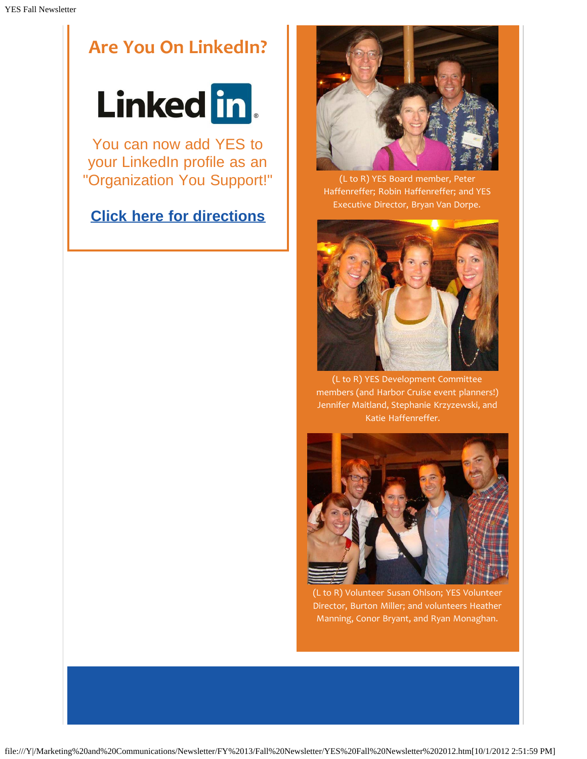# **Are You On LinkedIn?**



You can now add YES to your LinkedIn profile as an "Organization You Support!"

### **[Click here for directions](http://r20.rs6.net/tn.jsp?e=001AD5fay7F8ZaEtTiNYkeDCMkVX-9bG7yJjCIdQuhsNsBzysTWvTkNOvdgbAEugG95IxkC7ko09j2uZu7jpyoTmaT4y6ib-L7imdiwyAz84-GquN9jDheVDYPkBR4tAAJqeWWgR0OqLzDIgMphdtpasfYvRWdxpG90Ef2klLH6nP8gHEHzgoz0Dh4PqPyu8cAMnbaQnACYBXG9J6MnEnV8TFLRFtpeiXVCsTlHMiiy21Mnw9yhuzD7SA==)**



(L to R) YES Board member, Peter Haffenreffer; Robin Haffenreffer; and YES Executive Director, Bryan Van Dorpe.



(L to R) YES Development Committee members (and Harbor Cruise event planners!) Jennifer Maitland, Stephanie Krzyzewski, and Katie Haffenreffer.



(L to R) Volunteer Susan Ohlson; YES Volunteer Director, Burton Miller; and volunteers Heather Manning, Conor Bryant, and Ryan Monaghan.